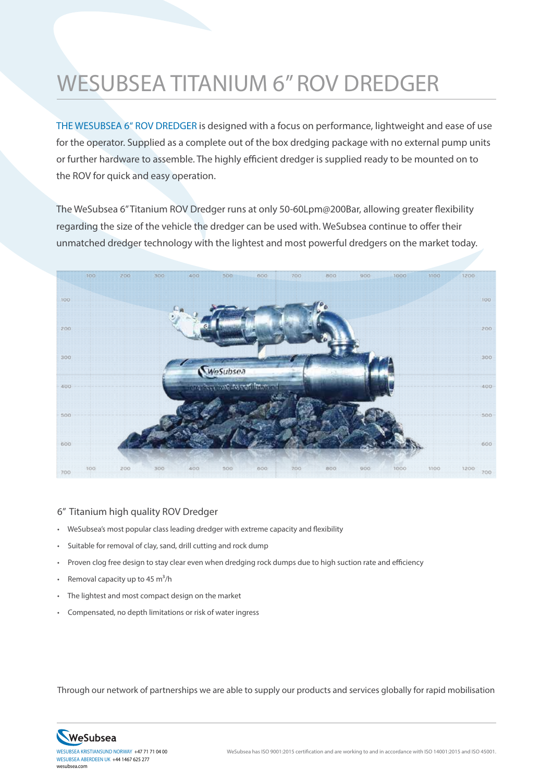## WESUBSEA TITANIUM 6" ROV DREDGER

THE WESUBSEA 6" ROV DREDGER is designed with a focus on performance, lightweight and ease of use for the operator. Supplied as a complete out of the box dredging package with no external pump units or further hardware to assemble. The highly efficient dredger is supplied ready to be mounted on to the ROV for quick and easy operation.

The WeSubsea 6" Titanium ROV Dredger runs at only 50-60Lpm@200Bar, allowing greater flexibility regarding the size of the vehicle the dredger can be used with. WeSubsea continue to offer their unmatched dredger technology with the lightest and most powerful dredgers on the market today.



## 6" Titanium high quality ROV Dredger

- WeSubsea's most popular class leading dredger with extreme capacity and flexibility
- Suitable for removal of clay, sand, drill cutting and rock dump
- Proven clog free design to stay clear even when dredging rock dumps due to high suction rate and efficiency
- Removal capacity up to 45  $m^3/h$
- The lightest and most compact design on the market
- Compensated, no depth limitations or risk of water ingress

Through our network of partnerships we are able to supply our products and services globally for rapid mobilisation



wesubsea.com WESUBSEA ABERDEEN UK +44 1467 625 277